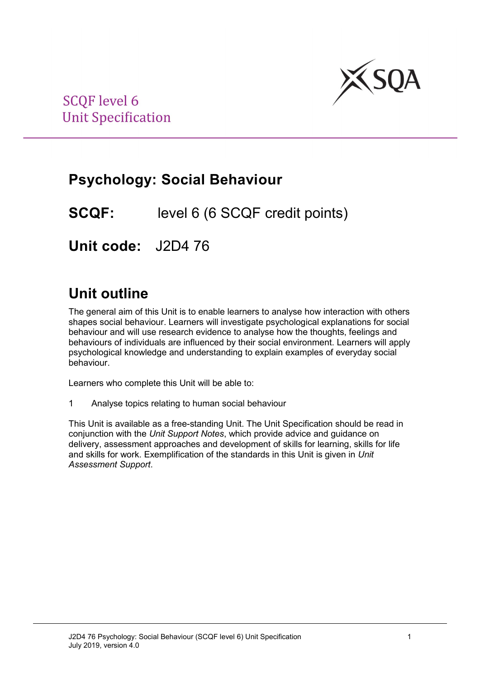

## **Psychology: Social Behaviour**

**SCQF:** level 6 (6 SCQF credit points)

**Unit code:** J2D4 76

## **Unit outline**

The general aim of this Unit is to enable learners to analyse how interaction with others shapes social behaviour. Learners will investigate psychological explanations for social behaviour and will use research evidence to analyse how the thoughts, feelings and behaviours of individuals are influenced by their social environment. Learners will apply psychological knowledge and understanding to explain examples of everyday social behaviour.

Learners who complete this Unit will be able to:

1 Analyse topics relating to human social behaviour

This Unit is available as a free-standing Unit. The Unit Specification should be read in conjunction with the *Unit Support Notes*, which provide advice and guidance on delivery, assessment approaches and development of skills for learning, skills for life and skills for work. Exemplification of the standards in this Unit is given in *Unit Assessment Support*.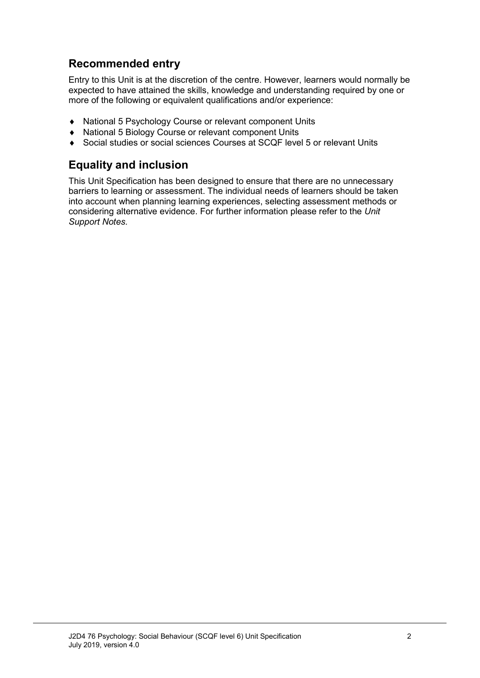### **Recommended entry**

Entry to this Unit is at the discretion of the centre. However, learners would normally be expected to have attained the skills, knowledge and understanding required by one or more of the following or equivalent qualifications and/or experience:

- ♦ National 5 Psychology Course or relevant component Units
- ♦ National 5 Biology Course or relevant component Units
- Social studies or social sciences Courses at SCQF level 5 or relevant Units

### **Equality and inclusion**

This Unit Specification has been designed to ensure that there are no unnecessary barriers to learning or assessment. The individual needs of learners should be taken into account when planning learning experiences, selecting assessment methods or considering alternative evidence. For further information please refer to the *Unit Support Notes.*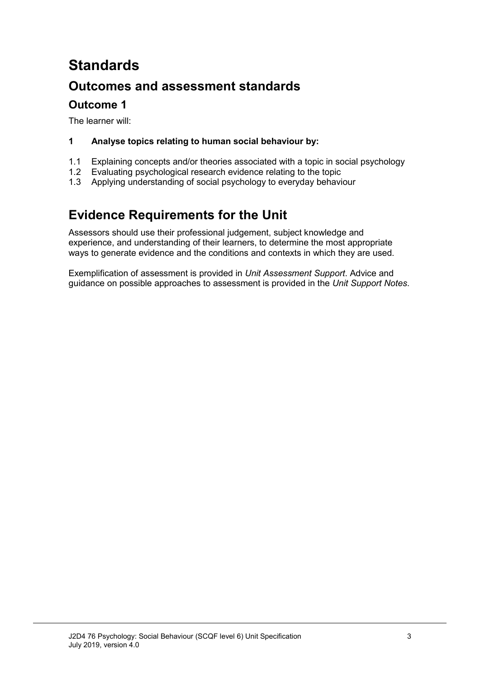# **Standards**

## **Outcomes and assessment standards**

### **Outcome 1**

The learner will:

#### **1 Analyse topics relating to human social behaviour by:**

- 1.1 Explaining concepts and/or theories associated with a topic in social psychology<br>1.2 Evaluating psychological research evidence relating to the topic
- 1.2 Evaluating psychological research evidence relating to the topic<br>1.3 Applying understanding of social psychology to everyday behavi
- Applying understanding of social psychology to everyday behaviour

## **Evidence Requirements for the Unit**

Assessors should use their professional judgement, subject knowledge and experience, and understanding of their learners, to determine the most appropriate ways to generate evidence and the conditions and contexts in which they are used.

Exemplification of assessment is provided in *Unit Assessment Support*. Advice and guidance on possible approaches to assessment is provided in the *Unit Support Notes*.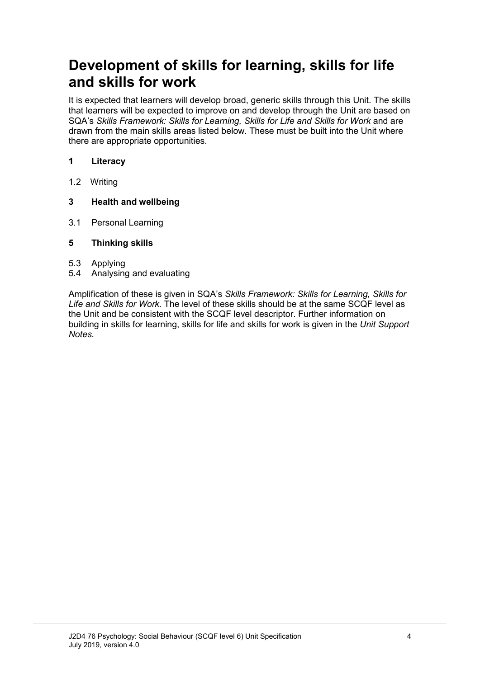## **Development of skills for learning, skills for life and skills for work**

It is expected that learners will develop broad, generic skills through this Unit. The skills that learners will be expected to improve on and develop through the Unit are based on SQA's Skills Framework: Skills for Learning, Skills for Life and Skills for Work and are drawn from the main skills areas listed below. These must be built into the Unit where there are appropriate opportunities.

#### **1 Literacy**

1.2 Writing

#### **3 Health and wellbeing**

3.1 Personal Learning

#### **5 Thinking skills**

- 5.3 Applying
- 5.4 Analysing and evaluating

Amplification of these is given in SQA's *Skills Framework: Skills for Learning, Skills for Life and Skills for Work.* The level of these skills should be at the same SCQF level as the Unit and be consistent with the SCQF level descriptor. Further information on building in skills for learning, skills for life and skills for work is given in the *Unit Support Notes.*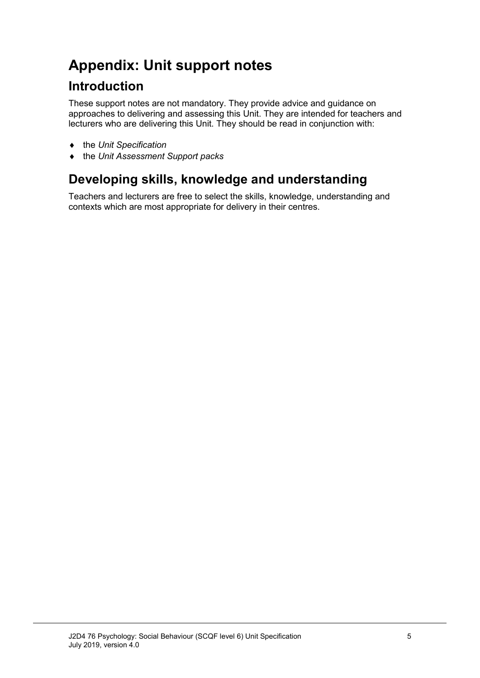# **Appendix: Unit support notes**

## **Introduction**

These support notes are not mandatory. They provide advice and guidance on approaches to delivering and assessing this Unit. They are intended for teachers and lecturers who are delivering this Unit. They should be read in conjunction with:

- ♦ the *Unit Specification*
- ♦ the *Unit Assessment Support packs*

## **Developing skills, knowledge and understanding**

Teachers and lecturers are free to select the skills, knowledge, understanding and contexts which are most appropriate for delivery in their centres.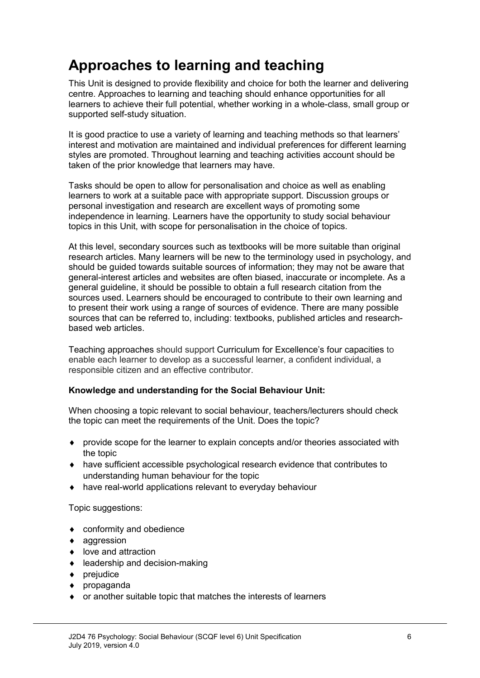# **Approaches to learning and teaching**

This Unit is designed to provide flexibility and choice for both the learner and delivering centre. Approaches to learning and teaching should enhance opportunities for all learners to achieve their full potential, whether working in a whole-class, small group or supported self-study situation.

It is good practice to use a variety of learning and teaching methods so that learners' interest and motivation are maintained and individual preferences for different learning styles are promoted. Throughout learning and teaching activities account should be taken of the prior knowledge that learners may have.

Tasks should be open to allow for personalisation and choice as well as enabling learners to work at a suitable pace with appropriate support. Discussion groups or personal investigation and research are excellent ways of promoting some independence in learning. Learners have the opportunity to study social behaviour topics in this Unit, with scope for personalisation in the choice of topics.

At this level, secondary sources such as textbooks will be more suitable than original research articles. Many learners will be new to the terminology used in psychology, and should be guided towards suitable sources of information; they may not be aware that general-interest articles and websites are often biased, inaccurate or incomplete. As a general guideline, it should be possible to obtain a full research citation from the sources used. Learners should be encouraged to contribute to their own learning and to present their work using a range of sources of evidence. There are many possible sources that can be referred to, including: textbooks, published articles and researchbased web articles.

Teaching approaches should support [Curriculum for Excellence's four capacities](https://webmail.scotcol.ac.uk/owa/redir.aspx?C=c4ba60ac089e47109a0efd02b985db21&URL=http%3a%2f%2fwww.ltscotland.org.uk%2funderstandingthecurriculum%2fwhatiscurriculumforexcellence%2fthepurposeofthecurriculum%2findex.asp) to enable each learner to develop as a successful learner, a confident individual, a responsible citizen and an effective contributor.

#### **Knowledge and understanding for the Social Behaviour Unit:**

When choosing a topic relevant to social behaviour, teachers/lecturers should check the topic can meet the requirements of the Unit. Does the topic?

- ♦ provide scope for the learner to explain concepts and/or theories associated with the topic
- ♦ have sufficient accessible psychological research evidence that contributes to understanding human behaviour for the topic
- ♦ have real-world applications relevant to everyday behaviour

Topic suggestions:

- ♦ conformity and obedience
- ♦ aggression
- ♦ love and attraction
- ♦ leadership and decision-making
- ♦ prejudice
- ♦ propaganda
- ♦ or another suitable topic that matches the interests of learners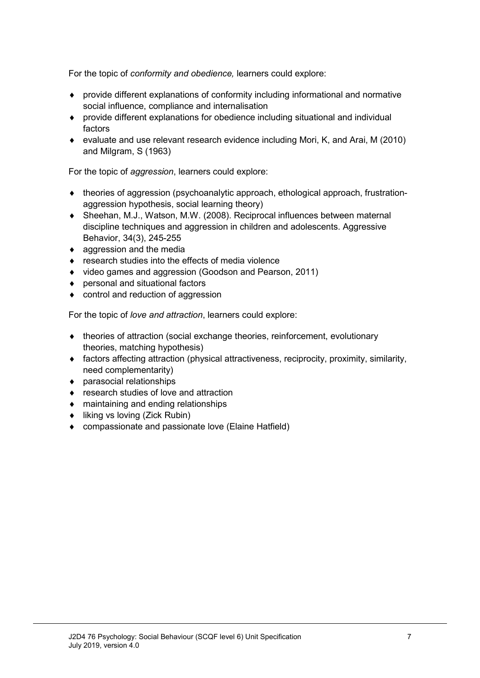For the topic of *conformity and obedience,* learners could explore:

- ♦ provide different explanations of conformity including informational and normative social influence, compliance and internalisation
- ♦ provide different explanations for obedience including situational and individual factors
- ♦ evaluate and use relevant research evidence including Mori, K, and Arai, M (2010) and Milgram, S (1963)

For the topic of *aggression*, learners could explore:

- ♦ theories of aggression (psychoanalytic approach, ethological approach, frustrationaggression hypothesis, social learning theory)
- ♦ Sheehan, M.J., Watson, M.W. (2008). Reciprocal influences between maternal discipline techniques and aggression in children and adolescents. Aggressive Behavior, 34(3), 245-255
- $\bullet$  aggression and the media
- ♦ research studies into the effects of media violence
- ♦ video games and aggression (Goodson and Pearson, 2011)
- ♦ personal and situational factors
- ♦ control and reduction of aggression

For the topic of *love and attraction*, learners could explore:

- ♦ theories of attraction (social exchange theories, reinforcement, evolutionary theories, matching hypothesis)
- ♦ factors affecting attraction (physical attractiveness, reciprocity, proximity, similarity, need complementarity)
- ♦ parasocial relationships
- ♦ research studies of love and attraction
- ♦ maintaining and ending relationships
- ♦ liking vs loving (Zick Rubin)
- ♦ compassionate and passionate love (Elaine Hatfield)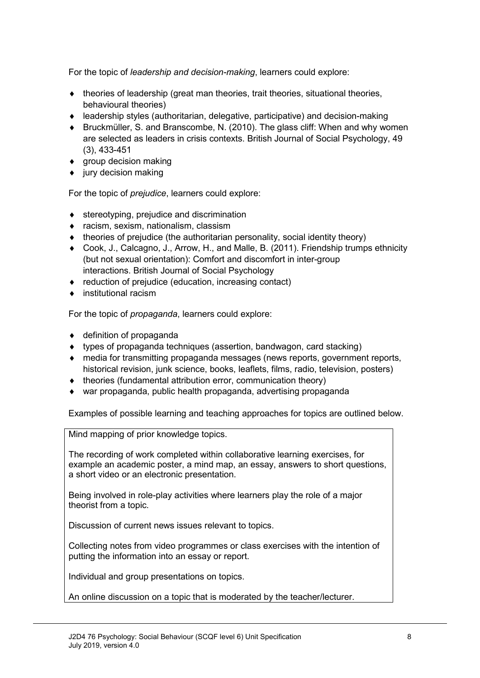For the topic of *leadership and decision-making*, learners could explore:

- $\bullet$  theories of leadership (great man theories, trait theories, situational theories, behavioural theories)
- ♦ leadership styles (authoritarian, delegative, participative) and decision-making
- ♦ Bruckmüller, S. and Branscombe, N. (2010). The glass cliff: When and why women are selected as leaders in crisis contexts. British Journal of Social Psychology, 49 (3), 433-451
- $\bullet$  group decision making
- $\bullet$  jury decision making

For the topic of *prejudice*, learners could explore:

- $\bullet$  stereotyping, prejudice and discrimination
- ♦ racism, sexism, nationalism, classism
- $\bullet$  theories of prejudice (the authoritarian personality, social identity theory)
- ♦ Cook, J., Calcagno, J., Arrow, H., and Malle, B. (2011). Friendship trumps ethnicity (but not sexual orientation): Comfort and discomfort in inter-group interactions. British Journal of Social Psychology
- ♦ reduction of prejudice (education, increasing contact)
- ♦ institutional racism

For the topic of *propaganda*, learners could explore:

- ♦ definition of propaganda
- ♦ types of propaganda techniques (assertion, bandwagon, card stacking)
- ♦ media for transmitting propaganda messages (news reports, government reports, historical revision, junk science, books, leaflets, films, radio, television, posters)
- ♦ theories (fundamental attribution error, communication theory)
- ♦ war propaganda, public health propaganda, advertising propaganda

Examples of possible learning and teaching approaches for topics are outlined below.

Mind mapping of prior knowledge topics.

The recording of work completed within collaborative learning exercises, for example an academic poster, a mind map, an essay, answers to short questions, a short video or an electronic presentation.

Being involved in role-play activities where learners play the role of a major theorist from a topic.

Discussion of current news issues relevant to topics.

Collecting notes from video programmes or class exercises with the intention of putting the information into an essay or report.

Individual and group presentations on topics.

An online discussion on a topic that is moderated by the teacher/lecturer.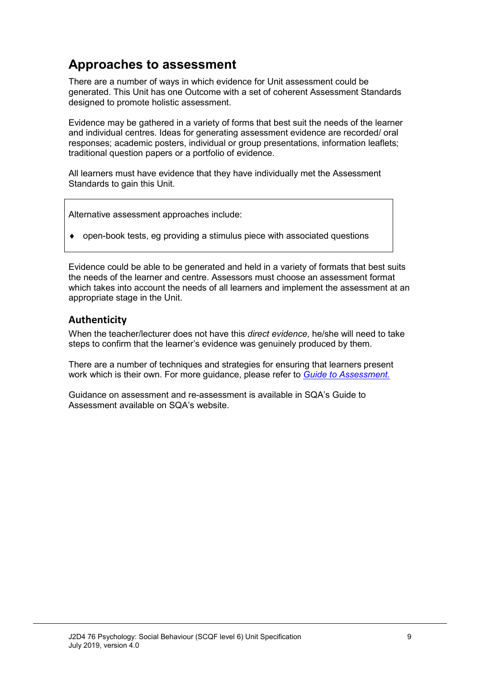## **Approaches to assessment**

There are a number of ways in which evidence for Unit assessment could be generated. This Unit has one Outcome with a set of coherent Assessment Standards designed to promote holistic assessment.

Evidence may be gathered in a variety of forms that best suit the needs of the learner and individual centres. Ideas for generating assessment evidence are recorded/ oral responses; academic posters, individual or group presentations, information leaflets; traditional question papers or a portfolio of evidence.

All learners must have evidence that they have individually met the Assessment Standards to gain this Unit.

Alternative assessment approaches include:

open-book tests, eg providing a stimulus piece with associated questions

Evidence could be able to be generated and held in a variety of formats that best suits the needs of the learner and centre. Assessors must choose an assessment format which takes into account the needs of all learners and implement the assessment at an appropriate stage in the Unit.

#### **Authenticity**

When the teacher/lecturer does not have this *direct evidence*, he/she will need to take steps to confirm that the learner's evidence was genuinely produced by them.

There are a number of techniques and strategies for ensuring that learners present work which is their own. For more guidance, please refer to *[Guide to Assessment.](http://www.sqa.org.uk/sqa/files_ccc/25GuideToAssessment.pdf)* 

Guidance on assessment and re-assessment is available in SQA's Guide to Assessment available on SQA's website.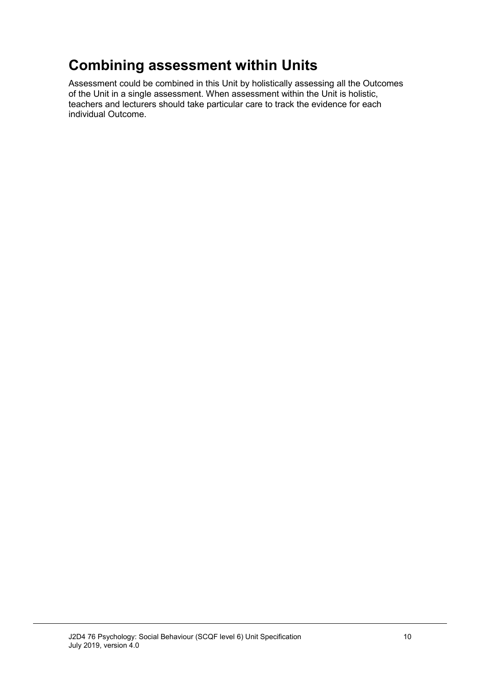# **Combining assessment within Units**

Assessment could be combined in this Unit by holistically assessing all the Outcomes of the Unit in a single assessment. When assessment within the Unit is holistic, teachers and lecturers should take particular care to track the evidence for each individual Outcome.